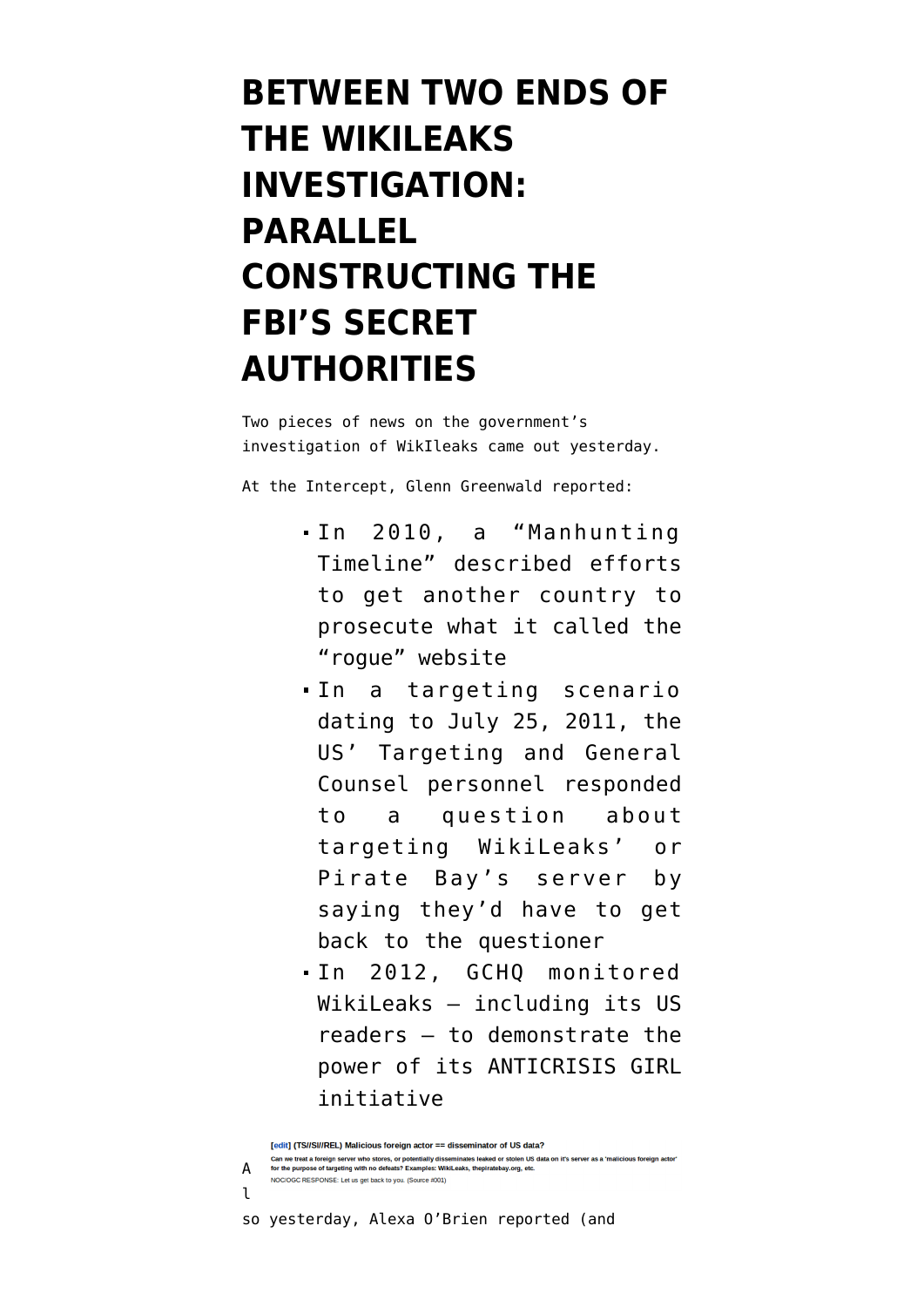## **[BETWEEN TWO ENDS OF](https://www.emptywheel.net/2014/02/19/between-two-ends-of-the-wikileaks-investigation-parallel-constructing-the-fbis-secret-authorities/) [THE WIKILEAKS](https://www.emptywheel.net/2014/02/19/between-two-ends-of-the-wikileaks-investigation-parallel-constructing-the-fbis-secret-authorities/) [INVESTIGATION:](https://www.emptywheel.net/2014/02/19/between-two-ends-of-the-wikileaks-investigation-parallel-constructing-the-fbis-secret-authorities/) [PARALLEL](https://www.emptywheel.net/2014/02/19/between-two-ends-of-the-wikileaks-investigation-parallel-constructing-the-fbis-secret-authorities/) [CONSTRUCTING THE](https://www.emptywheel.net/2014/02/19/between-two-ends-of-the-wikileaks-investigation-parallel-constructing-the-fbis-secret-authorities/) [FBI'S SECRET](https://www.emptywheel.net/2014/02/19/between-two-ends-of-the-wikileaks-investigation-parallel-constructing-the-fbis-secret-authorities/) [AUTHORITIES](https://www.emptywheel.net/2014/02/19/between-two-ends-of-the-wikileaks-investigation-parallel-constructing-the-fbis-secret-authorities/)**

Two pieces of news on the government's investigation of WikIleaks came out yesterday.

At the Intercept, Glenn Greenwald [reported](https://firstlook.org/theintercept/article/2014/02/18/snowden-docs-reveal-covert-surveillance-and-pressure-tactics-aimed-at-wikileaks-and-its-supporters/):

- In 2010, a "Manhunting Timeline" [described efforts](https://prod01-cdn02.cdn.firstlook.org/wp-uploads/2014/02/assange_pressure.png) to get another country to prosecute what it called the "rogue" website
- In a [targeting scenario](https://www.documentcloud.org/documents/1019062-discovery-sigint-targeting-scenarios-and.html#document/p1) dating to July 25, 2011, the US' Targeting and General Counsel personnel responded to a question about targeting WikiLeaks' or Pirate Bay's server by saying they'd have to get back to the questioner
- In 2012, GCHQ [monitored](https://prod01-cdn01.cdn.firstlook.org/wp-uploads/2014/02/piwik2.png) [WikiLeaks](https://prod01-cdn01.cdn.firstlook.org/wp-uploads/2014/02/piwik2.png) — including its US readers — to demonstrate the power of its ANTICRISIS GIRL initiative

so yesterday, Alexa O'Brien [reported](http://www.alexaobrien.com/secondsight/wikileaks/grand_jury/newly_published_secret_grand_jury_orders_and_related_material_shed_light_on_the_continuing_us_investigation_of_wikileaks_now_entering_its_fifth_year.html) (and

<sup>[</sup>edit] (TS//SI//REL) Malicious foreign actor == disseminator of US data? Can we treat a foreign server who stores, or potentially disseminates leaked or stolen US data on it's server as a 'malicious foreign actor'<br>for the purpose of targeting with no defeats? Examples: WikiLeaks, thepiratebay.o A NOC/OGC RESPONSE: Let us get back to you. (Source #001)  $\mathbf{1}$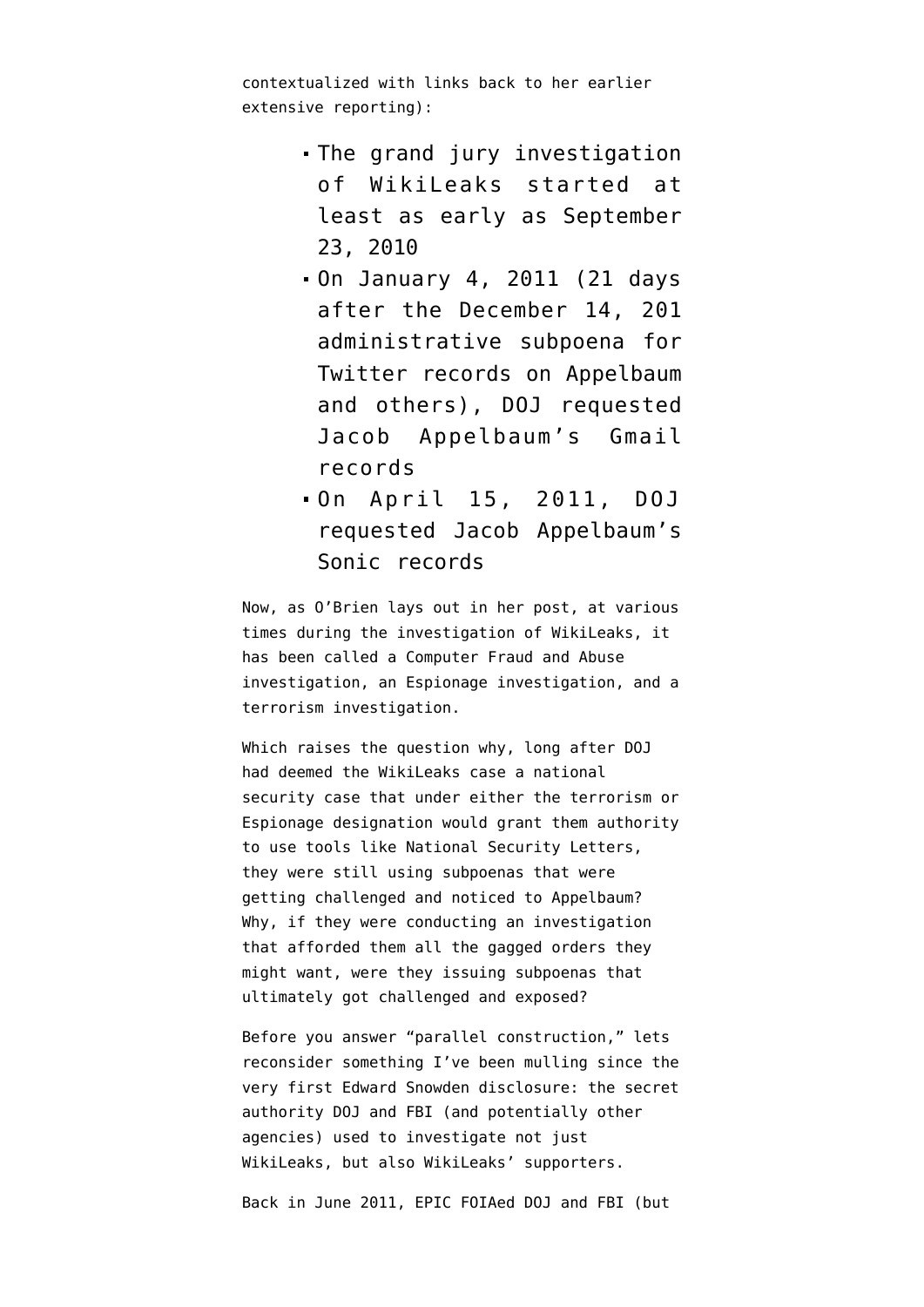contextualized with links back to her earlier extensive reporting):

- The grand jury investigation of WikiLeaks started [at](https://www.documentcloud.org/documents/843327-20121116-ae-339-enc-01-log-of-unclassified-emails.html#document/p123/a134468) [least as early](https://www.documentcloud.org/documents/843327-20121116-ae-339-enc-01-log-of-unclassified-emails.html#document/p123/a134468) as September 23, 2010
- On January 4, 2011 (21 days after the December 14, 201 administrative subpoena for Twitter records on Appelbaum and others), DOJ [requested](https://www.documentcloud.org/documents/1018629-google-secret-2703-d-order-appelbaum-10gj3793.html) Jacob Appelbaum's Gmail records
- On April 15, 2011, DOJ [requested](https://www.documentcloud.org/documents/1018630-sonic-secret-2703-d-order-11dm9-applebaum.html) Jacob Appelbaum's Sonic records

Now, as O'Brien lays out in her post, at various times during the investigation of WikiLeaks, it has been called a Computer Fraud and Abuse investigation, an Espionage investigation, and a terrorism investigation.

Which raises the question why, long after DOJ had deemed the WikiLeaks case a national security case that under either the terrorism or Espionage designation would grant them authority to use tools like National Security Letters, they were still using subpoenas that were getting challenged and noticed to Appelbaum? Why, if they were conducting an investigation that afforded them all the gagged orders they might want, were they issuing subpoenas that ultimately got challenged and exposed?

Before you answer "parallel construction," lets reconsider something I've been mulling since the very first Edward Snowden disclosure: the secret authority DOJ and FBI (and potentially other agencies) used to investigate not just WikiLeaks, but also WikiLeaks' supporters.

Back in June 2011, EPIC [FOIAed](https://epic.org/foia/EPIC-DOJ-WikileaksFOIA.PDF) DOJ and FBI (but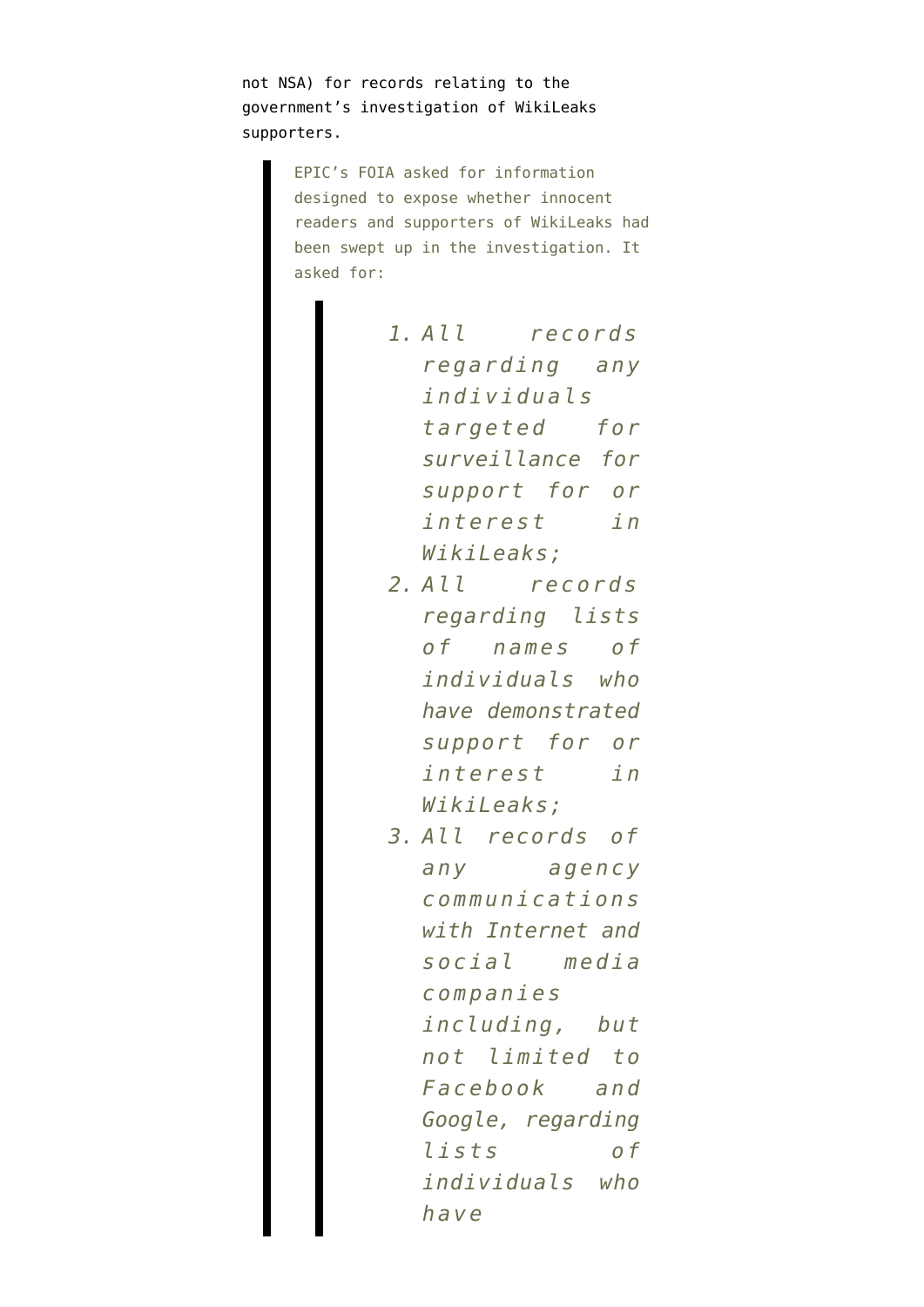not NSA) for records relating to the government's investigation of WikiLeaks supporters.

> EPIC's FOIA asked for information designed to expose whether innocent readers and supporters of WikiLeaks had been swept up in the investigation. It asked for:

| 1. All records    |
|-------------------|
| regarding any     |
| individuals       |
| targeted for      |
| surveillance for  |
| support for or    |
| interest in       |
| WikiLeaks;        |
| 2. All records    |
| regarding lists   |
| of names of       |
| individuals who   |
| have demonstrated |
| support for or    |
| interest in       |
| WikiLeaks;        |
| 3. All records of |
| any agency        |
| communications    |
| with Internet and |
| social media      |
| companies         |
| including, but    |
| not limited to    |
| Facebook and      |
| Google, regarding |
| lists<br>o f      |
| individuals who   |
| have              |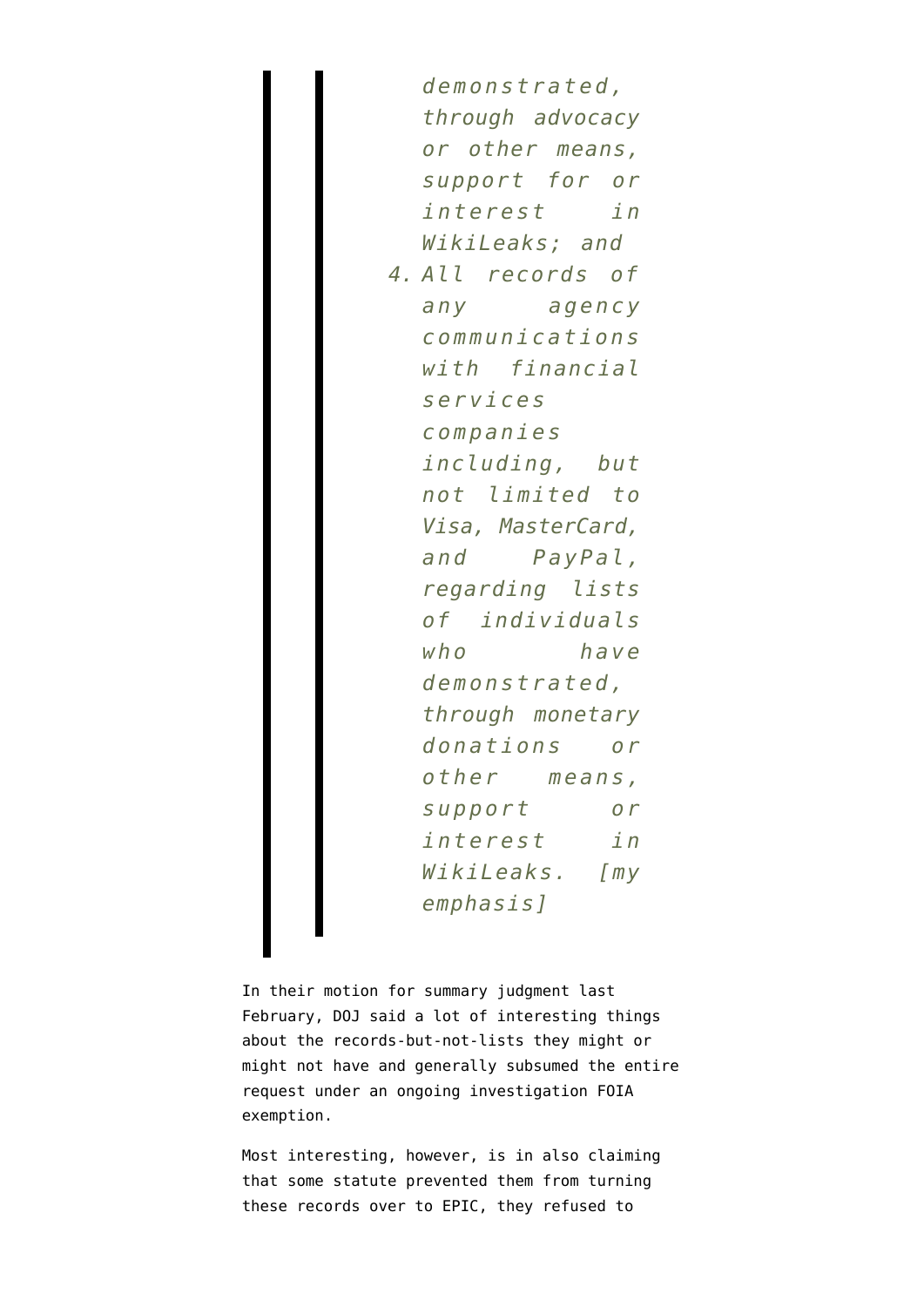*demonstrated, through advocacy or other means, support for or interest in WikiLeaks; and 4. All records of any agency communications with financial services companies including, but not limited to Visa, MasterCard, and PayPal, regarding lists of individuals who have demonstrated, through monetary donations or other means, support or interest in WikiLeaks. [my emphasis]*

In their motion for summary judgment last February, DOJ [said](http://www.emptywheel.net/2013/02/01/doj-we-cant-tell-which-secret-application-of-section-215-prevents-us-from-telling-you-how-youre-surveilled/) a lot of interesting things about the records-but-not-lists they might or might not have and generally subsumed the entire request under an ongoing investigation FOIA exemption.

Most interesting, however, is in also claiming that some statute prevented them from turning these records over to EPIC, they refused to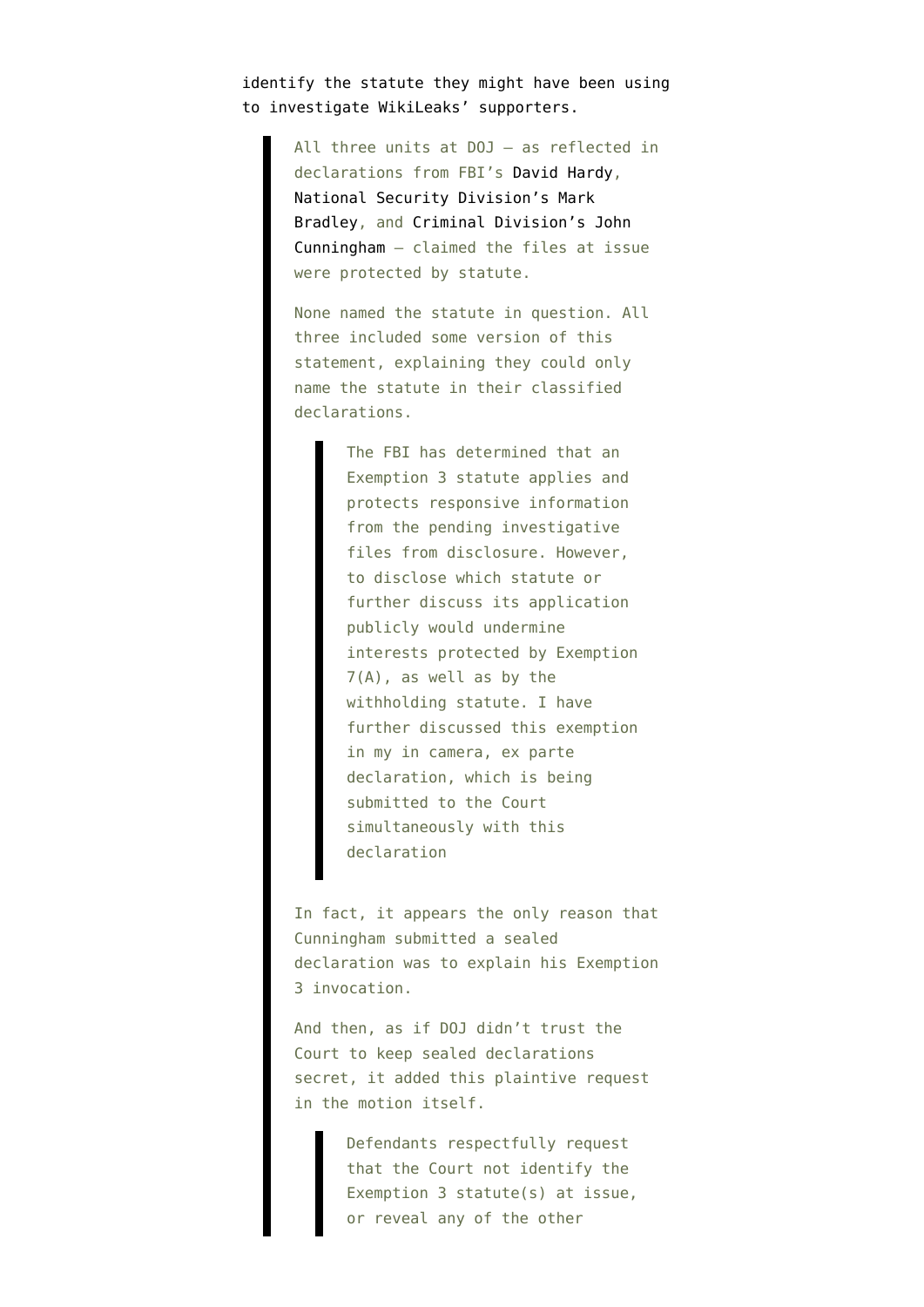identify the statute they might have been using to investigate WikiLeaks' supporters.

> All three units at DOJ — as reflected in declarations from FBI's [David Hardy](http://www.emptywheel.net/wp-content/uploads/2013/02/130130-Hardy-Declaration.pdf), [National Security Division's Mark](http://www.emptywheel.net/wp-content/uploads/2013/02/130131-Bradley-Declaration.pdf) [Bradley,](http://www.emptywheel.net/wp-content/uploads/2013/02/130131-Bradley-Declaration.pdf) and [Criminal Division's John](http://www.emptywheel.net/wp-content/uploads/2013/02/130131-Cunningham-Declaration.pdf) [Cunningham](http://www.emptywheel.net/wp-content/uploads/2013/02/130131-Cunningham-Declaration.pdf) – claimed the files at issue were protected by statute.

None named the statute in question. All three included some version of this statement, explaining they could only name the statute in their classified declarations.

> The FBI has determined that an Exemption 3 statute applies and protects responsive information from the pending investigative files from disclosure. However, to disclose which statute or further discuss its application publicly would undermine interests protected by Exemption 7(A), as well as by the withholding statute. I have further discussed this exemption in my in camera, ex parte declaration, which is being submitted to the Court simultaneously with this declaration

In fact, it appears the only reason that Cunningham submitted a sealed declaration was to explain his Exemption 3 invocation.

And then, as if DOJ didn't trust the Court to keep sealed declarations secret, it added this plaintive request in the motion itself.

> Defendants respectfully request that the Court not identify the Exemption 3 statute(s) at issue, or reveal any of the other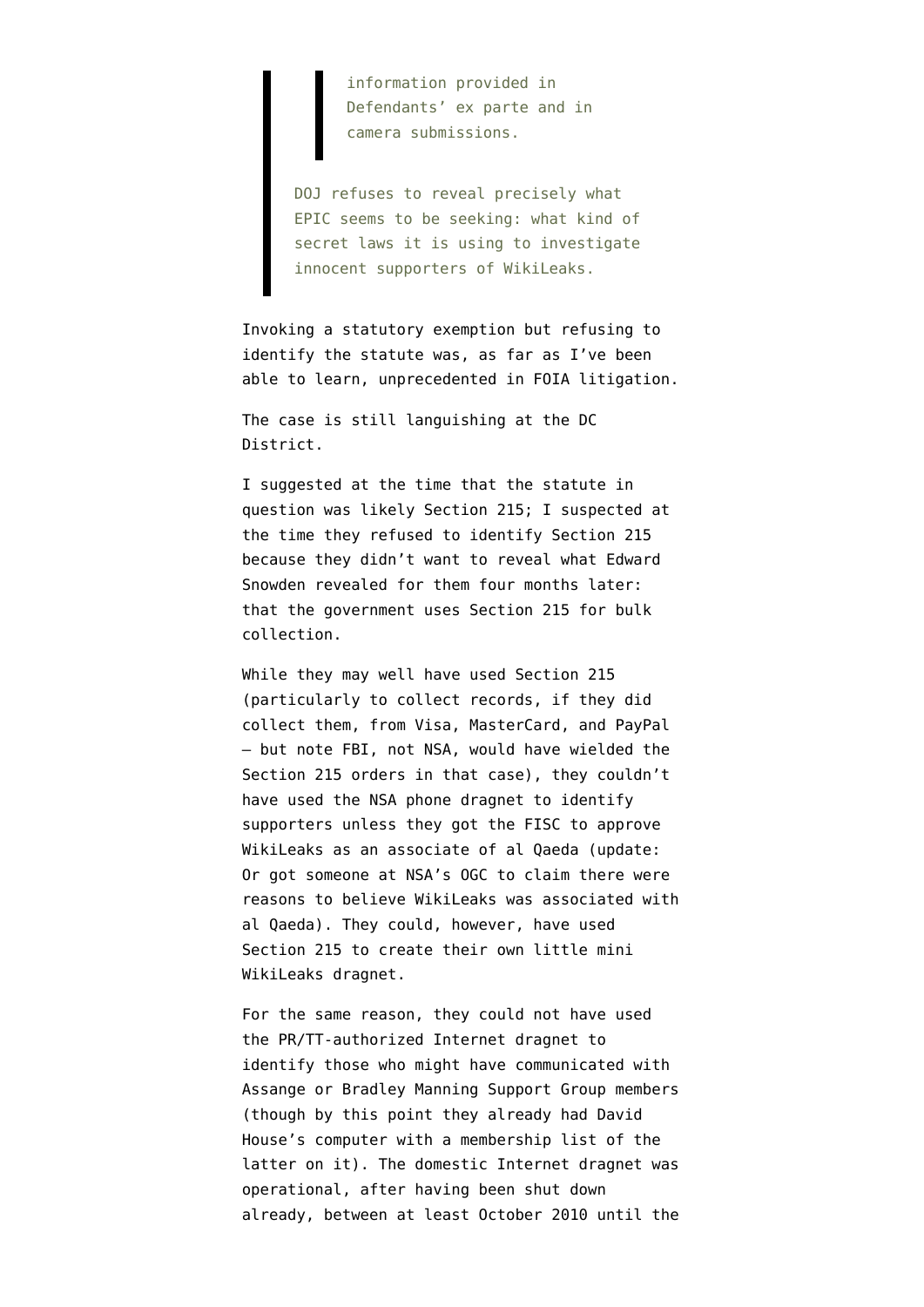information provided in Defendants' ex parte and in camera submissions.

DOJ refuses to reveal precisely what EPIC seems to be seeking: what kind of secret laws it is using to investigate innocent supporters of WikiLeaks.

Invoking a statutory exemption but refusing to identify the statute was, as far as I've been able to learn, unprecedented in FOIA litigation.

The case is still languishing at the DC District.

I [suggested at the time](http://www.emptywheel.net/2013/02/01/doj-we-cant-tell-which-secret-application-of-section-215-prevents-us-from-telling-you-how-youre-surveilled/) that the statute in question was likely Section 215; I suspected at the time they refused to identify Section 215 because they didn't want to reveal what Edward Snowden revealed for them four months later: that the government uses Section 215 for bulk collection.

While they may well have used Section 215 (particularly to collect records, if they did collect them, from Visa, MasterCard, and PayPal — but note FBI, not NSA, would have wielded the Section 215 orders in that case), they couldn't have used the NSA phone dragnet to identify supporters unless they got the FISC to approve WikiLeaks as an associate of al Qaeda (update: Or got someone at NSA's OGC to claim there were reasons to believe WikiLeaks was associated with al Qaeda). They could, however, have used Section 215 to create their own little mini WikiLeaks dragnet.

For the same reason, they could not have used the PR/TT-authorized Internet dragnet to identify those who might have communicated with Assange or Bradley Manning Support Group members (though by this point they already had David House's computer with a membership list of the latter on it). The domestic Internet dragnet was operational, after having been shut down already, between at least October 2010 until the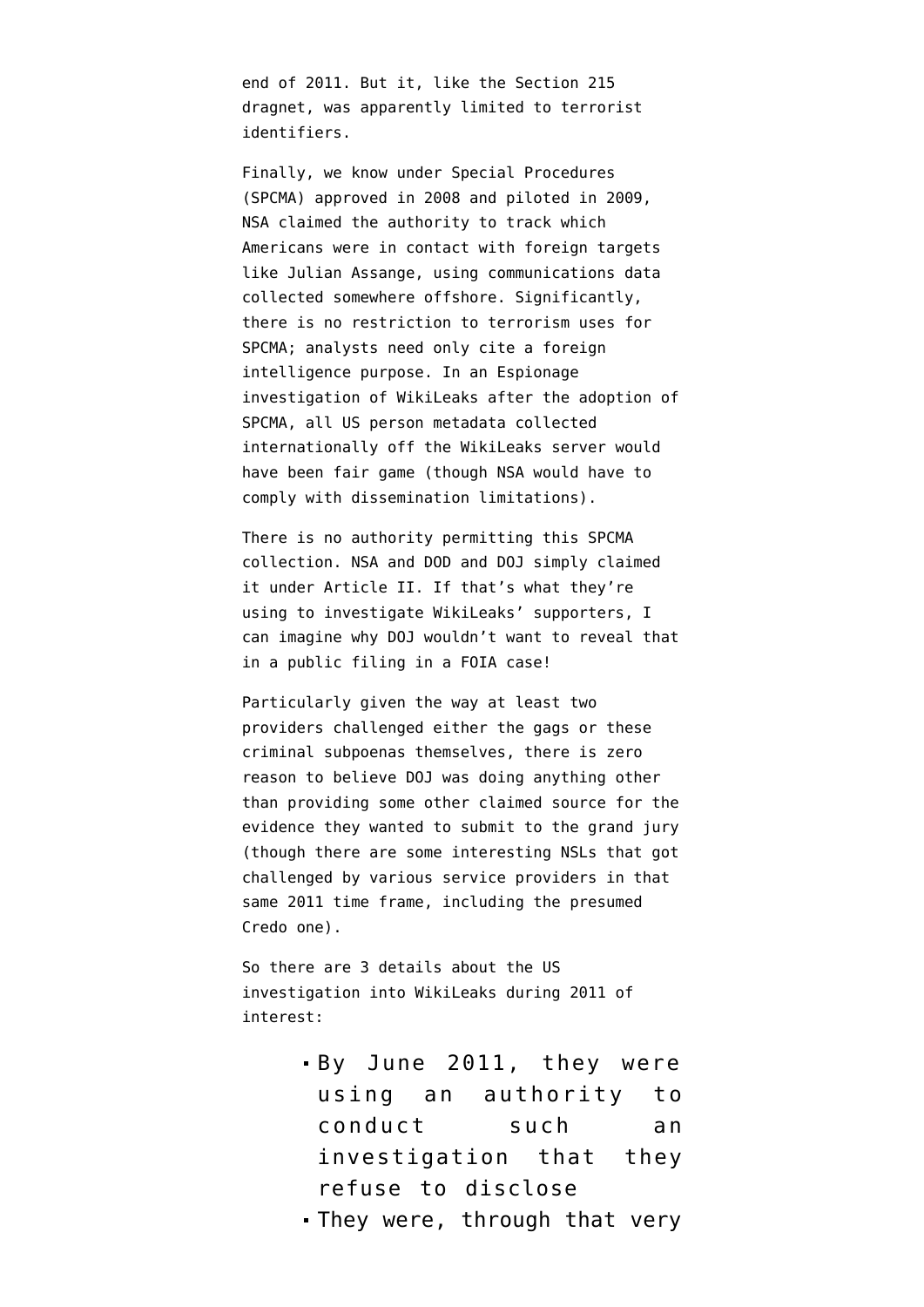end of 2011. But it, like the Section 215 dragnet, was apparently limited to terrorist identifiers.

Finally, we know under Special Procedures (SPCMA) approved in 2008 and piloted in 2009, NSA [claimed the authority](http://www.emptywheel.net/2014/02/17/spcma-the-other-nsa-dragnet-sucking-in-americans/) to track which Americans were in contact with foreign targets like Julian Assange, using communications data collected somewhere offshore. Significantly, there is no restriction to terrorism uses for SPCMA; analysts need only cite a foreign intelligence purpose. In an Espionage investigation of WikiLeaks after the adoption of SPCMA, all US person metadata collected internationally off the WikiLeaks server would have been fair game (though NSA would have to comply with dissemination limitations).

There is no authority permitting this SPCMA collection. NSA and DOD and DOJ simply claimed it under Article II. If that's what they're using to investigate WikiLeaks' supporters, I can imagine why DOJ wouldn't want to reveal that in a public filing in a FOIA case!

Particularly given the way at least two providers challenged either the gags or these criminal subpoenas themselves, there is zero reason to believe DOJ was doing anything other than providing some other claimed source for the evidence they wanted to submit to the grand jury (though there are some interesting NSLs that got challenged by various service providers in that same 2011 time frame, including [the presumed](http://www.emptywheel.net/2012/07/18/a-15-month-fight-for-subscriber-information/) [Credo one\)](http://www.emptywheel.net/2012/07/18/a-15-month-fight-for-subscriber-information/).

So there are 3 details about the US investigation into WikiLeaks during 2011 of interest:

- By June 2011, they were using an authority to conduct such an investigation that they refuse to disclose
- They were, through that very